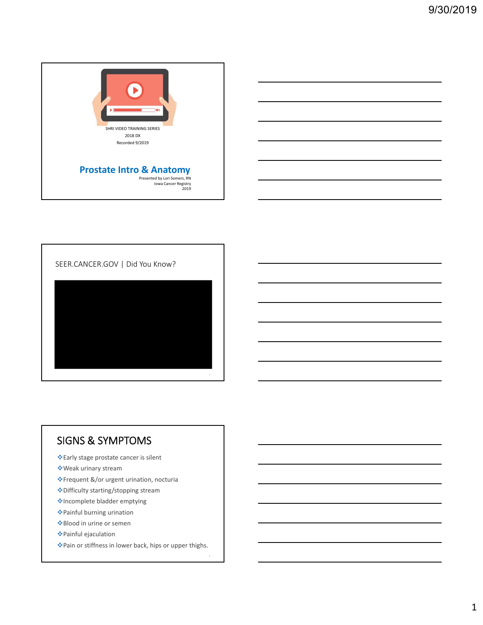



## SIGNS & SYMPTOMS

Early stage prostate cancer is silent

- Weak urinary stream
- Frequent &/or urgent urination, nocturia
- Difficulty starting/stopping stream
- Incomplete bladder emptying
- Painful burning urination
- Blood in urine or semen
- Painful ejaculation
- Pain or stiffness in lower back, hips or upper thighs.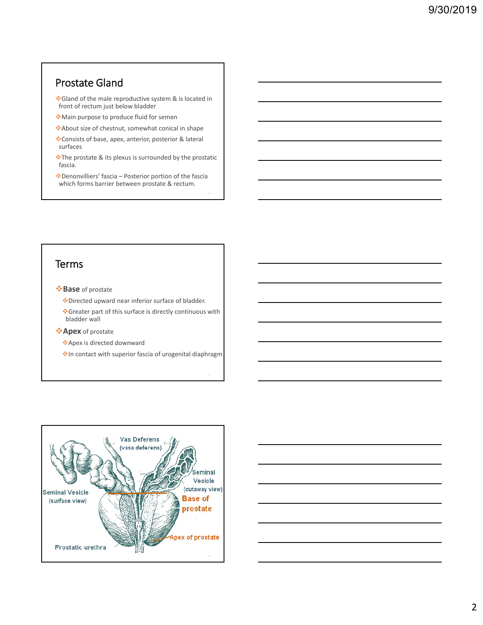### Prostate Gland

❖ Gland of the male reproductive system & is located in front of rectum just below bladder

- Main purpose to produce fluid for semen
- About size of chestnut, somewhat conical in shape
- Consists of base, apex, anterior, posterior & lateral surfaces
- The prostate & its plexus is surrounded by the prostatic fascia.
- Denonvilliers' fascia Posterior portion of the fascia which forms barrier between prostate & rectum.

### **Terms**

- **Base** of prostate
	- Directed upward near inferior surface of bladder.
	- Greater part of this surface is directly continuous with bladder wall
- **Apex** of prostate
	- Apex is directed downward
	- **In contact with superior fascia of urogenital diaphragm**



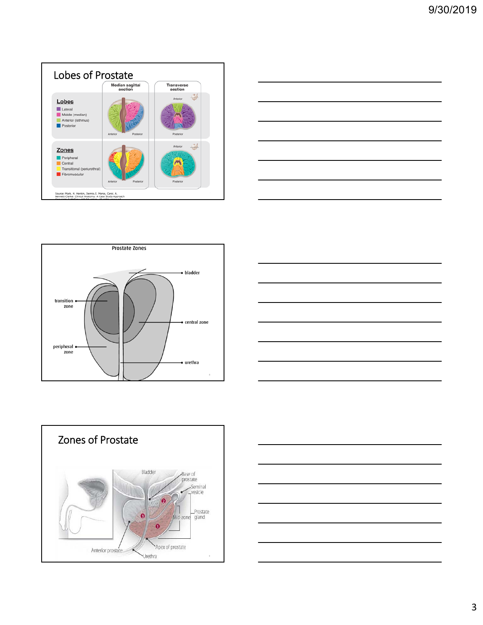









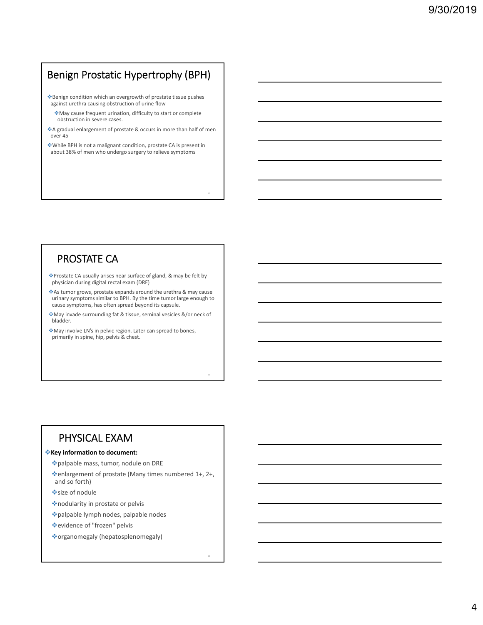## Benign Prostatic Hypertrophy (BPH)

Benign condition which an overgrowth of prostate tissue pushes against urethra causing obstruction of urine flow

- May cause frequent urination, difficulty to start or complete obstruction in severe cases.
- A gradual enlargement of prostate & occurs in more than half of men over 45
- While BPH is not a malignant condition, prostate CA is present in about 38% of men who undergo surgery to relieve symptoms

### PROSTATE CA

Prostate CA usually arises near surface of gland, & may be felt by physician during digital rectal exam (DRE)

As tumor grows, prostate expands around the urethra & may cause urinary symptoms similar to BPH. By the time tumor large enough to cause symptoms, has often spread beyond its capsule.

May invade surrounding fat & tissue, seminal vesicles &/or neck of bladder.

May involve LN's in pelvic region. Later can spread to bones, primarily in spine, hip, pelvis & chest.

### PHYSICAL EXAM

#### **Key information to document:**

palpable mass, tumor, nodule on DRE

enlargement of prostate (Many times numbered 1+, 2+, and so forth)

size of nodule

nodularity in prostate or pelvis

palpable lymph nodes, palpable nodes

evidence of "frozen" pelvis

organomegaly (hepatosplenomegaly)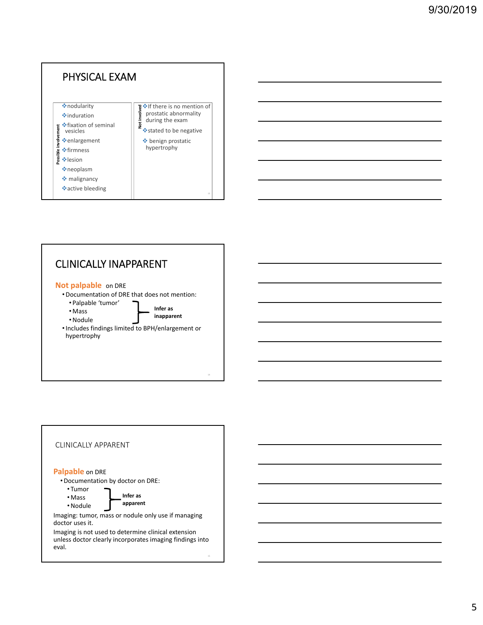

### CLINICALLY INAPPARENT

#### **Not palpable on DRE**

- •Documentation of DRE that does not mention:
	- Palpable 'tumor' **Infer as inapparent**
	- Mass •Nodule
- •Includes findings limited to BPH/enlargement or hypertrophy

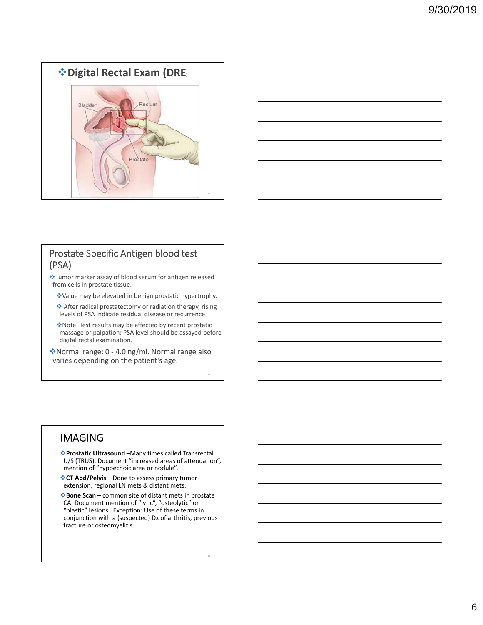



#### Prostate Specific Antigen blood test (PSA)

Tumor marker assay of blood serum for antigen released from cells in prostate tissue.

Value may be elevated in benign prostatic hypertrophy.

 After radical prostatectomy or radiation therapy, rising levels of PSA indicate residual disease or recurrence

Note: Test results may be affected by recent prostatic massage or palpation; PSA level should be assayed before digital rectal examination.

Normal range: 0 ‐ 4.0 ng/ml. Normal range also varies depending on the patient's age.

### IMAGING

**Prostatic Ultrasound** –Many times called Transrectal U/S (TRUS). Document "increased areas of attenuation", mention of "hypoechoic area or nodule".

**CT Abd/Pelvis** – Done to assess primary tumor extension, regional LN mets & distant mets.

**Bone Scan** – common site of distant mets in prostate CA. Document mention of "lytic", "osteolytic" or "blastic" lesions. Exception: Use of these terms in conjunction with a (suspected) Dx of arthritis, previous fracture or osteomyelitis.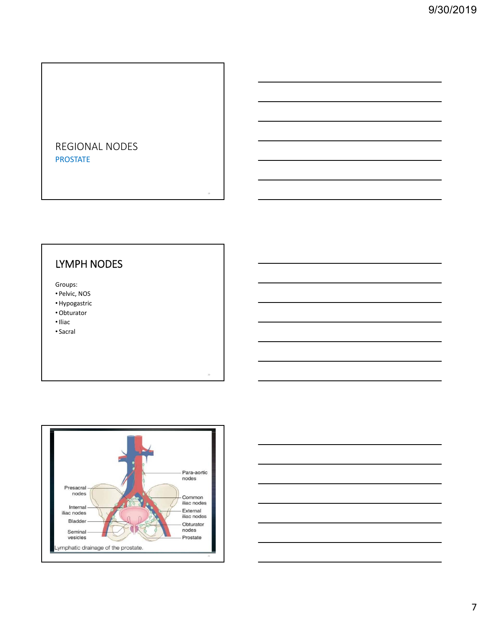### REGIONAL NODES PROSTATE

## LYMPH NODES

Groups:

- Pelvic, NOS
- •Hypogastric
- •Obturator
- •Iliac
- Sacral



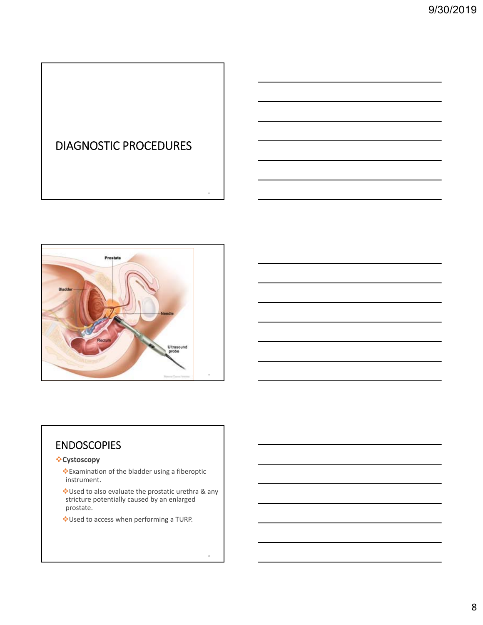# DIAGNOSTIC PROCEDURES



### ENDOSCOPIES

#### **Cystoscopy**

- Examination of the bladder using a fiberoptic instrument.
- Used to also evaluate the prostatic urethra & any stricture potentially caused by an enlarged prostate.
- Used to access when performing a TURP.